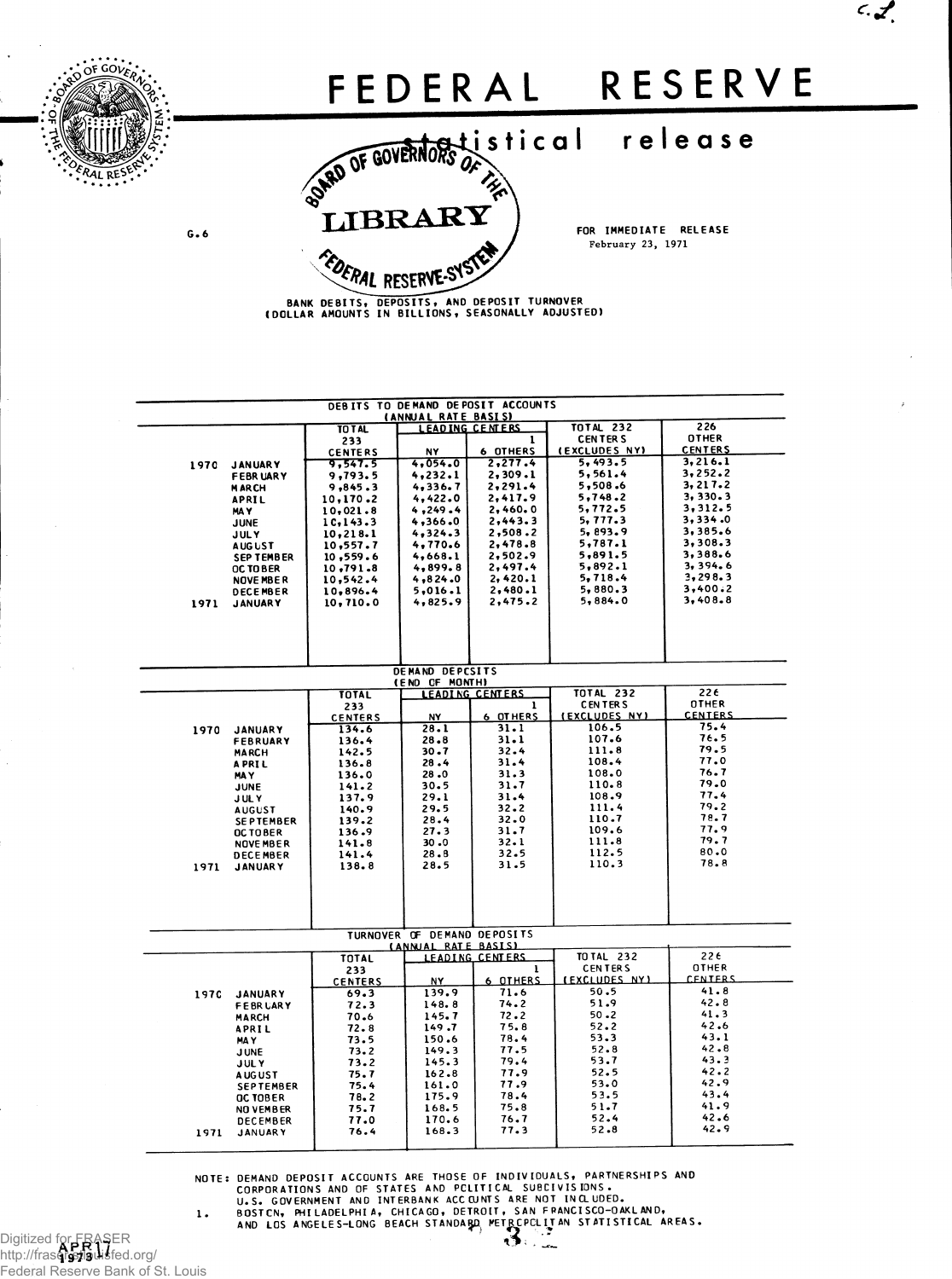

 $\mathcal{L}$ 

BANK DEBITS, DEPOSITS, AND DEPOSIT TURNOVER<br>(DOLLAR AMOUNTS IN BILLIONS, SEASONALLY ADJUSTED)

| DEBITS TO DEMAND DEPOSIT ACCOUNTS<br><b>(ANNUAL RATE BASIS)</b> |                                    |                         |                                                    |                        |                                 |                                |  |  |  |
|-----------------------------------------------------------------|------------------------------------|-------------------------|----------------------------------------------------|------------------------|---------------------------------|--------------------------------|--|--|--|
|                                                                 |                                    | TO TAL                  | <b>LEADING CENTERS</b>                             |                        | <b>TOTAL 232</b>                | 226                            |  |  |  |
|                                                                 |                                    | 233<br><b>CENTERS</b>   | <b>NY</b>                                          | 1<br><b>6 OTHERS</b>   | <b>CENTERS</b><br>(EXCLUDES NY) | <b>OTHER</b><br><b>CENTERS</b> |  |  |  |
| 1970                                                            | <b>JANUARY</b>                     | 9,547.5                 | 4,054.0                                            | 2,277.4                | 5,493.5                         | 3,216.1                        |  |  |  |
|                                                                 | <b>FEBRUARY</b>                    | 9,793.5                 | 4,232.1                                            | 2,309.1                | 5,561.4                         | 3,252.2                        |  |  |  |
|                                                                 | <b>MARCH</b>                       | 9,845.3                 | 4.336.7                                            | 2.291.4                | 5,508.6<br>5,748.2              | 3, 217.2<br>3.330.3            |  |  |  |
|                                                                 | <b>APRIL</b><br>MA Y               | 10,170.2<br>10,021.8    | 4,422.0<br>4,249.4                                 | 2,417.9<br>2,460.0     | 5,772.5                         | 3,312.5                        |  |  |  |
|                                                                 | JUNE                               | 1C, 143.3               | 4,366.0                                            | 2,443.3                | 5,777.3                         | 3,334.0                        |  |  |  |
|                                                                 | <b>JULY</b>                        | 10, 218.1               | 4,324.3                                            | 2,508.2                | 5,893.9                         | 3,385.6                        |  |  |  |
|                                                                 | <b>AUGUST</b>                      | 10,557.7                | 4,770.6                                            | 2,478.8                | 5,787.1<br>5,891.5              | 3,308.3<br>3,388.6             |  |  |  |
|                                                                 | <b>SEPTEMBER</b><br>OC TO BER      | 10,559.6<br>10,791.8    | 4,668.1<br>4,899.8                                 | 2,502.9<br>2,497.4     | 5,892.1                         | 3, 394.6                       |  |  |  |
|                                                                 | NOVE MBER                          | 10,542.4                | 4,824.0                                            | 2,420.1                | 5,718.4                         | 3,298.3                        |  |  |  |
|                                                                 | <b>DECEMBER</b>                    | 10,896.4                | 5,016.1                                            | 2,480.1                | 5,880.3                         | 3.400.2                        |  |  |  |
| 1971                                                            | <b>JANUARY</b>                     | 10,710.0                | 4,825.9                                            | 2,475.2                | 5,884.0                         | 3,408.8                        |  |  |  |
|                                                                 |                                    |                         |                                                    |                        |                                 |                                |  |  |  |
|                                                                 |                                    |                         |                                                    |                        |                                 |                                |  |  |  |
|                                                                 |                                    |                         |                                                    |                        |                                 |                                |  |  |  |
|                                                                 |                                    |                         | DEMAND DEPCSITS                                    |                        |                                 |                                |  |  |  |
|                                                                 |                                    |                         | (END OF MONTH)                                     |                        |                                 |                                |  |  |  |
|                                                                 |                                    | <b>TOTAL</b>            |                                                    | <b>LEADING CENTERS</b> | <b>TOTAL 232</b>                | 22E                            |  |  |  |
|                                                                 |                                    | 233                     |                                                    | 1<br>6 OTHERS          | <b>CENTERS</b><br>(EXCLUDES NY) | <b>OTHER</b><br><b>CENTERS</b> |  |  |  |
| 1970                                                            | <b>JANUARY</b>                     | <b>CENTERS</b><br>134.6 | NY<br>28.1                                         | 31.1                   | 106.5                           | 75.4                           |  |  |  |
|                                                                 | FEBRUARY                           | 136.4                   | $28 - 8$                                           | 31.1                   | 107.6                           | 76.5                           |  |  |  |
|                                                                 | <b>MARCH</b>                       | 142.5                   | $30 - 7$                                           | 32.4                   | 111.8                           | 79.5                           |  |  |  |
|                                                                 | <b>APRIL</b>                       | 136.8                   | 28.4                                               | 31.4                   | 108.4<br>108.0                  | 77.0<br>76.7                   |  |  |  |
|                                                                 | MA Y<br>JUNE                       | 136.0<br>141.2          | 28.0<br>30.5                                       | 31.3<br>31.7           | 110.8                           | 79.0                           |  |  |  |
|                                                                 | <b>JULY</b>                        | 137.9                   | 29.1                                               | 31.4                   | 108.9                           | 77.4                           |  |  |  |
|                                                                 | <b>AUGUST</b>                      | 140.9                   | 29.5                                               | 32.2                   | 111.4                           | 79.2                           |  |  |  |
|                                                                 | <b>SEPTEMBER</b>                   | 139.2                   | 28.4                                               | 32.0                   | 110.7<br>109.6                  | 78.7<br>77.9                   |  |  |  |
|                                                                 | <b>OCTOBER</b><br><b>NOVE MBER</b> | 136.9<br>141.8          | 27.3<br>30.0                                       | 31.7<br>32.1           | 111.8                           | 79.7                           |  |  |  |
|                                                                 | <b>DECEMBER</b>                    | 141.4                   | 28.8                                               | 32.5                   | 112.5                           | 80.0                           |  |  |  |
| 1971                                                            | <b>JANUARY</b>                     | 138.8                   | 28.5                                               | 31.5                   | 110.3                           | 78.8                           |  |  |  |
|                                                                 |                                    |                         |                                                    |                        |                                 |                                |  |  |  |
|                                                                 |                                    |                         |                                                    |                        |                                 |                                |  |  |  |
|                                                                 |                                    |                         |                                                    |                        |                                 |                                |  |  |  |
|                                                                 |                                    |                         |                                                    |                        |                                 |                                |  |  |  |
|                                                                 |                                    |                         | TURNOVER OF DEMAND DEPOSITS<br>(ANNUAL RATE BASIS) |                        |                                 |                                |  |  |  |
|                                                                 |                                    | <b>TOTAL</b>            |                                                    | <b>LEADING CENTERS</b> | TO TAL 232                      | 22€                            |  |  |  |
|                                                                 |                                    | 233                     |                                                    | ı.                     | <b>CENTERS</b>                  | OTHER                          |  |  |  |
|                                                                 |                                    | <b>CENTERS</b>          | NY                                                 | 6 OTHERS               | <b>(EXCLUDES NY)</b>            | <b>CENTERS</b>                 |  |  |  |
| 197C                                                            | <b>JANUARY</b>                     | 69.3                    | 139.9<br>148.8                                     | 71.6<br>74.2           | 50.5<br>51.9                    | 41.8<br>42.8                   |  |  |  |
|                                                                 | <b>FEBRUARY</b><br><b>MARCH</b>    | 72.3<br>70.6            | 145.7                                              | 72.2                   | $50 - 2$                        | 41.3                           |  |  |  |
|                                                                 | <b>APRIL</b>                       | 72.8                    | 149.7                                              | 75.8                   | 52.2                            | 42.6                           |  |  |  |
|                                                                 | MA Y                               | 73.5                    | 150.6                                              | 78.4                   | 53.3                            | 43.1                           |  |  |  |
|                                                                 | <b>JUNE</b>                        | 73.2                    | 149.3                                              | 77.5<br>79.4           | $52 - 8$<br>53.7                | 42.8<br>43.3                   |  |  |  |
|                                                                 | <b>JULY</b>                        | 73.2<br>75.7            | 145.3<br>162.8                                     | 77.9                   | 52.5                            | 42.2                           |  |  |  |
|                                                                 | <b>AUGUST</b><br><b>SEPTEMBER</b>  | 75.4                    | 161.0                                              | 77.9                   | 53.0                            | 42.9                           |  |  |  |
|                                                                 | OC TOBER                           | 78.2                    | 175.9                                              | 78.4                   | 53.5                            | 43.4                           |  |  |  |
|                                                                 | NO VEMBER                          | 75.7                    | 168.5                                              | 75.8                   | 51.7                            | 41.9                           |  |  |  |
|                                                                 | <b>DECEMBER</b>                    | 77.0<br>76.4            | 170.6<br>168.3                                     | 76.7<br>77.3           | 52.4<br>52.8                    | 42.6<br>42.9                   |  |  |  |
| 1971                                                            | <b>JANUARY</b>                     |                         |                                                    |                        |                                 |                                |  |  |  |
|                                                                 |                                    |                         |                                                    |                        |                                 |                                |  |  |  |

NOTE: DEMAND DEPOSIT ACCOUNTS ARE THOSE OF INDIVIDUALS, PARTNERSHIPS AND<br>CORPORATIONS AND OF STATES AND PELITICAL SUBEIVISIONS.<br>U.S. GOVERNMENT AND INTERBANK ACCOUNTS ARE NOT INCLUDED.<br>1. BOSTCN, PHILADELPHIA, CHICAGO, DET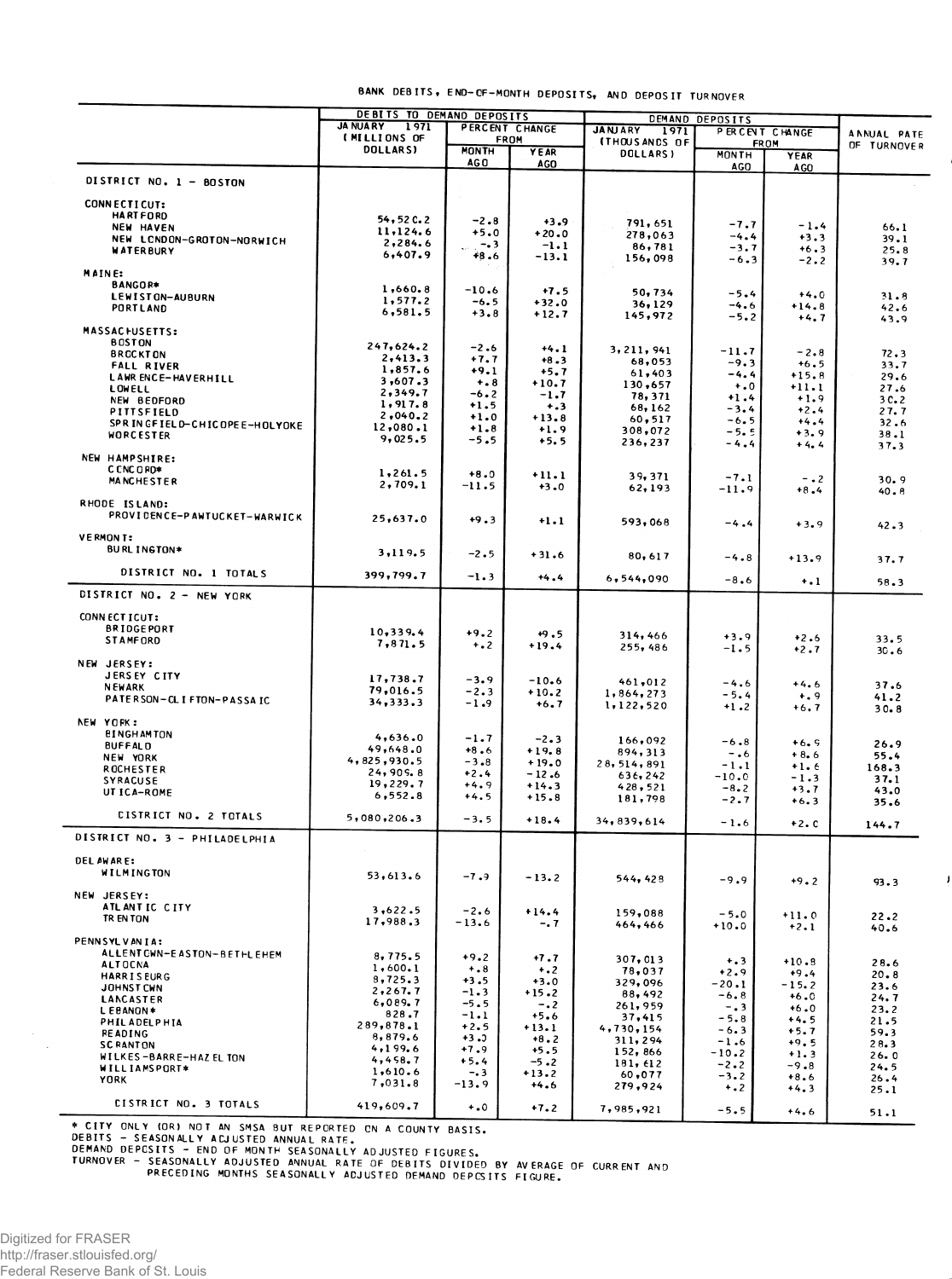| dANK DEBITS, END-CF-MONTH DEPOSITS, AND DEPOSIT TURNOVET |  |
|----------------------------------------------------------|--|
|----------------------------------------------------------|--|

|                               | DEBITS TO DEMAND DEPOSITS |              |                | DEMAND DEPOSITS        |              |                |                    |  |
|-------------------------------|---------------------------|--------------|----------------|------------------------|--------------|----------------|--------------------|--|
|                               | <b>JA NUARY</b><br>1971   |              | PERCENT CHANGE | <b>JANJARY</b><br>1971 |              | PERCENT CHANGE |                    |  |
|                               | (MILLIONS OF              | <b>FROM</b>  |                | <b>ITHOUS ANDS OF</b>  |              |                | <b>ANNUAL PATE</b> |  |
|                               | <b>DOLLARSI</b>           | <b>MONTH</b> | YEAR           | DOLLARS)               | <b>MONTH</b> | <b>FROM</b>    | OF TURNOVER        |  |
|                               |                           | AG O         | AGO            |                        |              | <b>YEAR</b>    |                    |  |
|                               |                           |              |                |                        | AGO          | <b>AGO</b>     |                    |  |
| DISTRICT NO. 1 - BOSTON       |                           |              |                |                        |              |                |                    |  |
|                               |                           |              |                |                        |              |                |                    |  |
| <b>CONNECTICUT:</b>           |                           |              |                |                        |              |                |                    |  |
| <b>HARTFORD</b>               | $54, 52$ $C.2$            | $-2.8$       | $+3.9$         | 791,651                |              |                |                    |  |
| NEW HAVEN                     | 11, 124.6                 | $+5.0$       |                |                        | $-7.7$       | $-1.4$         | 66.1               |  |
| NEW LCNDON-GROTON-NORWICH     | 2,284.6                   |              | $+20.0$        | 278,063                | $-4.4$       | $+3.3$         | 39.1               |  |
| <b>WATERBURY</b>              |                           | $-0.3$       | $-1.1$         | 86,781                 | $-3.7$       | $+6.3$         | 25.8               |  |
|                               | 6,407.9                   | +8.6         | $-13.1$        | 156,098                | $-6.3$       | $-2.2$         | 39.7               |  |
| MAINE:                        |                           |              |                |                        |              |                |                    |  |
| BANGOR*                       |                           |              |                |                        |              |                |                    |  |
|                               | 1,660.8                   | $-10.6$      | $+7.5$         | 50,734                 | $-5.4$       | $+4.0$         |                    |  |
| LEWISTON-AUBURN               | 1,577.2                   | $-6.5$       | $+32.0$        | 36,129                 | $-4.6$       | $+14.8$        | 31.8               |  |
| <b>PORTLAND</b>               | 6, 581.5                  | $+3.8$       | $+12.7$        | 145,972                | $-5.2$       |                | 42.6               |  |
|                               |                           |              |                |                        |              | $+4.7$         | 43.9               |  |
| <b>MASSACHUSETTS:</b>         |                           |              |                |                        |              |                |                    |  |
| <b>BOSTON</b>                 | 247,624.2                 | $-2.6$       | $+4.1$         |                        |              |                |                    |  |
| <b>BRCCKTON</b>               | 2,413.3                   |              |                | 3, 211, 941            | $-11.7$      | $-2.8$         | 72.3               |  |
| <b>FALL RIVER</b>             |                           | $+7.7$       | $+8.3$         | 68,053                 | $-9.3$       | $+6.5$         | 33.7               |  |
| LAWR ENCE-HAVERHILL           | 1,857.6                   | $+9.1$       | $+5.7$         | 61,403                 | $-4.4$       | $+15.8$        | 29.6               |  |
| LOWELL                        | 3,607.3                   | $+ 8 8$      | $+10.7$        | 130,657                | $+0.0$       | $+11.1$        | 27.6               |  |
|                               | 2,349.7                   | $-6.2$       | $-1.7$         | 78, 371                | $+1.4$       | $+1.9$         |                    |  |
| NEW BEDFORD                   | 1, 917.8                  | $+1.5$       | $+ 3 3$        | 68,162                 | $-3.4$       | $+2.4$         | 3C <sub>2</sub>    |  |
| PITTSFIELD                    | 2,040.2                   | $+1.0$       | $+13.8$        | 60,517                 | $-6.5$       |                | 27.7               |  |
| SPRINGFIELD-CHICOPEE-HOLYOKE  | 12,080.1                  | $+1.8$       | $+1.9$         | 308,072                |              | $+4.4$         | 32.6               |  |
| <b>WORCESTER</b>              | 9,025.5                   | $-5.5$       | $+5.5$         |                        | $-5.5$       | $+3.9$         | 38.1               |  |
|                               |                           |              |                | 236,237                | $-4.4$       | $+4.4$         | 37.3               |  |
| NEW HAMPSHIRE:                |                           |              |                |                        |              |                |                    |  |
| C CNC O RD*                   |                           |              |                |                        |              |                |                    |  |
| <b>MANCHESTER</b>             | 1,261.5                   | $+8.0$       | $+11.1$        | 39, 371                | $-7.1$       | $-0.2$         | 30.9               |  |
|                               | 2,709.1                   | $-11.5$      | $+3.0$         | 62,193                 | $-11.9$      | $+8.4$         | 40.8               |  |
| RHODE ISLAND:                 |                           |              |                |                        |              |                |                    |  |
|                               |                           |              |                |                        |              |                |                    |  |
| PROVIDENCE-PANTUCKET-WARWICK  | 25,637.0                  | $+9.3$       | $+1.1$         | 593,068                | $-4.4$       | $+3.9$         |                    |  |
|                               |                           |              |                |                        |              |                | 42.3               |  |
| <b>VERMONT:</b>               |                           |              |                |                        |              |                |                    |  |
| <b>BURL INGTON*</b>           | 3,119.5                   | $-2.5$       | $+31.6$        |                        |              |                |                    |  |
|                               |                           |              |                | 80,617                 | $-4.8$       | $+13.9$        | 37.7               |  |
| DISTRICT NO. 1 TOTALS         | 399,799.7                 | $-1.3$       |                |                        |              |                |                    |  |
|                               |                           |              | $+4.4$         | 6,544,090              | $-8.6$       | $+1$           | 58.3               |  |
| DISTRICT NO. 2 - NEW YORK     |                           |              |                |                        |              |                |                    |  |
|                               |                           |              |                |                        |              |                |                    |  |
| CONNECTICUT:                  |                           |              |                |                        |              |                |                    |  |
| <b>BRIDGE PORT</b>            |                           |              |                |                        |              |                |                    |  |
|                               | 10,339.4                  | $+9.2$       | $+9.5$         | 314,466                | $+3.9$       | $+2.6$         | 33.5               |  |
| <b>STAMFORD</b>               | 7,871.5                   | $+ 0.2$      | $+19.4$        | 255,486                | $-1.5$       | $+2.7$         |                    |  |
|                               |                           |              |                |                        |              |                | 30.6               |  |
| NEW JERSEY:                   |                           |              |                |                        |              |                |                    |  |
| <b>JERSEY CITY</b>            | 17,738.7                  | $-3.9$       | $-10.6$        |                        |              |                |                    |  |
| <b>NEWARK</b>                 | 79,016.5                  | $-2.3$       |                | 461,012                | $-4.6$       | $+4.6$         | 37.6               |  |
| PATERSON-CLIFTON-PASSAIC      | 34,333.3                  |              | $+10.2$        | 1,864,273              | $-5.4$       | $+ 0.9$        | 41.2               |  |
|                               |                           | $-1.9$       | $+6.7$         | 1,122,520              | $+1.2$       | $+6.7$         | 30.8               |  |
| NEW YORK:                     |                           |              |                |                        |              |                |                    |  |
|                               |                           |              |                |                        |              |                |                    |  |
| <b>BINGHAMTON</b>             | 4,636.0                   | $-1.7$       | $-2.3$         | 166,092                | $-6.8$       | $+6.9$         | 26.9               |  |
| <b>BUFFALD</b>                | 49,648.0                  | $+8.6$       | $+19.8$        | 894, 313               | $-0.6$       | $+8.6$         |                    |  |
| NEW YORK                      | 4,825,930.5               | $-3.8$       | $+19.0$        | 28, 514, 891           | $-1.1$       |                | 55.4               |  |
| ROCHESTER                     | 24,905.8                  | $+2.4$       | $-12.6$        | 636,242                |              | $+1.6$         | 168.3              |  |
| <b>SYRACUSE</b>               | 19,229.7                  | $+4.9$       | $+14.3$        |                        | $-10.0$      | $-1.3$         | 37.1               |  |
| UT ICA-ROME                   | 6, 552.8                  |              |                | 428,521                | $-8.2$       | $+3.7$         | 43.0               |  |
|                               |                           | $+4.5$       | $+15.8$        | 181,798                | $-2.7$       | $+6.3$         | 35.6               |  |
| <b>CISTRICT NO. 2 TOTALS</b>  | 5,080,206.3               |              |                |                        |              |                |                    |  |
|                               |                           | $-3.5$       | $+18.4$        | 34,839,614             | $-1.6$       | $+2.0$         | 144.7              |  |
| DISTRICT NO. 3 - PHILADELPHIA |                           |              |                |                        |              |                |                    |  |
|                               |                           |              |                |                        |              |                |                    |  |
| <b>DEL AWARE:</b>             |                           |              |                |                        |              |                |                    |  |
|                               |                           |              |                |                        |              |                |                    |  |
| WILMINGTON                    | 53,613.6                  | $-7.9$       | $-13.2$        | 544, 428               | $-9.9$       | $+9.2$         |                    |  |
|                               |                           |              |                |                        |              |                | 93.3               |  |
| NEW JERSEY:                   |                           |              |                |                        |              |                |                    |  |
| ATL ANT IC CITY               | 3,622.5                   | $-2.6$       | $+14.4$        | 159,088                | $-5.0$       |                |                    |  |
| TR EN TON                     | 17,988.3                  | $-13.6$      | $-0.7$         |                        |              | $+11.0$        | 22.2               |  |
|                               |                           |              |                | 464,466                | $+10.0$      | $+2.1$         | 40.6               |  |
| PENNSYLVANIA:                 |                           |              |                |                        |              |                |                    |  |
| ALLENT CWN-EASTON-BETHLEHEM   |                           |              |                |                        |              |                |                    |  |
| <b>ALTOCNA</b>                | 8,775.5                   | $+9.2$       | $+7.7$         | 307,013                | $+ 3$        | $+10.8$        | 28.6               |  |
|                               | 1,600.1                   | $+ 0.8$      | $+ 2$          | 78,037                 | $+2.9$       | $+9.4$         | 20.8               |  |
| <b>HARRISEURG</b>             | 8,725.3                   | $+3.5$       | $+3.0$         | 329,096                | $-20.1$      | -15.2          | 23.6               |  |
| <b>JOHNST CWN</b>             | 2, 267.7                  | $-1.3$       | $+15.2$        | 88,492                 | $-6.8$       |                |                    |  |
| LANCASTER                     | 6,089.7                   | $-5.5$       | $-0.2$         | 261,959                |              | $+6.0$         | 24.7               |  |
| LEBANON*                      | 828.7                     | $-1.1$       | $+5.6$         |                        | $-0.3$       | $+6.0$         | 23.2               |  |
| PHIL ADELPHIA                 | 289,878.1                 | $+2.5$       |                | 37,415                 | $-5.8$       | $+4.5$         | 21.5               |  |
| <b>READING</b>                | 8,879.6                   |              | $+13.1$        | 4,730,154              | $-6.3$       | $+5.7$         | 59.3               |  |
| <b>SC RANTON</b>              |                           | $+3.3$       | $+8.2$         | 311,294                | $-1.6$       | $+9.5$         | 28.3               |  |
| WILKES-BARRE-HAZEL TON        | 4,199.6                   | $+7.9$       | $+5.5$         | 152,866                | $-10.2$      | $+1.3$         | 26.0               |  |
| WILLIAMSPORT*                 | 4,458.7                   | $+5.4$       | $-5.2$         | 181, 612               | $-2.2$       | $-9.8$         | 24.5               |  |
|                               | 1,610.6                   | $-3$         | $+13.2$        | 60,077                 | $-3.2$       | $+8.6$         | 26.4               |  |
| <b>YORK</b>                   | 7,031.8                   | $-13.9$      | $+4.6$         | 279,924                | $+ 2$        | $+4.3$         |                    |  |
|                               |                           |              |                |                        |              |                | 25.1               |  |
| CISTRICT NO. 3 TOTALS         | 419,609.7                 | $+0.0$       | $+7.2$         | 7,985,921              | $-5.5$       |                |                    |  |
|                               |                           |              |                |                        |              | $+4.6$         | 51.1               |  |

 $\mathbf{j}$ 

\* CITY ONLY (OR) NOT AN SMSA BUT REPORTED ON A COUNTY BASIS.<br>DEBITS - SEASONALLY ACJUSTED ANNUAL RATE.<br>DEMAND DEPOSITS - END OF MONTH SEASONALLY ADJUSTED FIGURES.<br>TURNOVER - SEASONALLY ADJUSTED ANNUAL RATE OF DEBITS DIVIDE

 $\bar{\mathcal{A}}$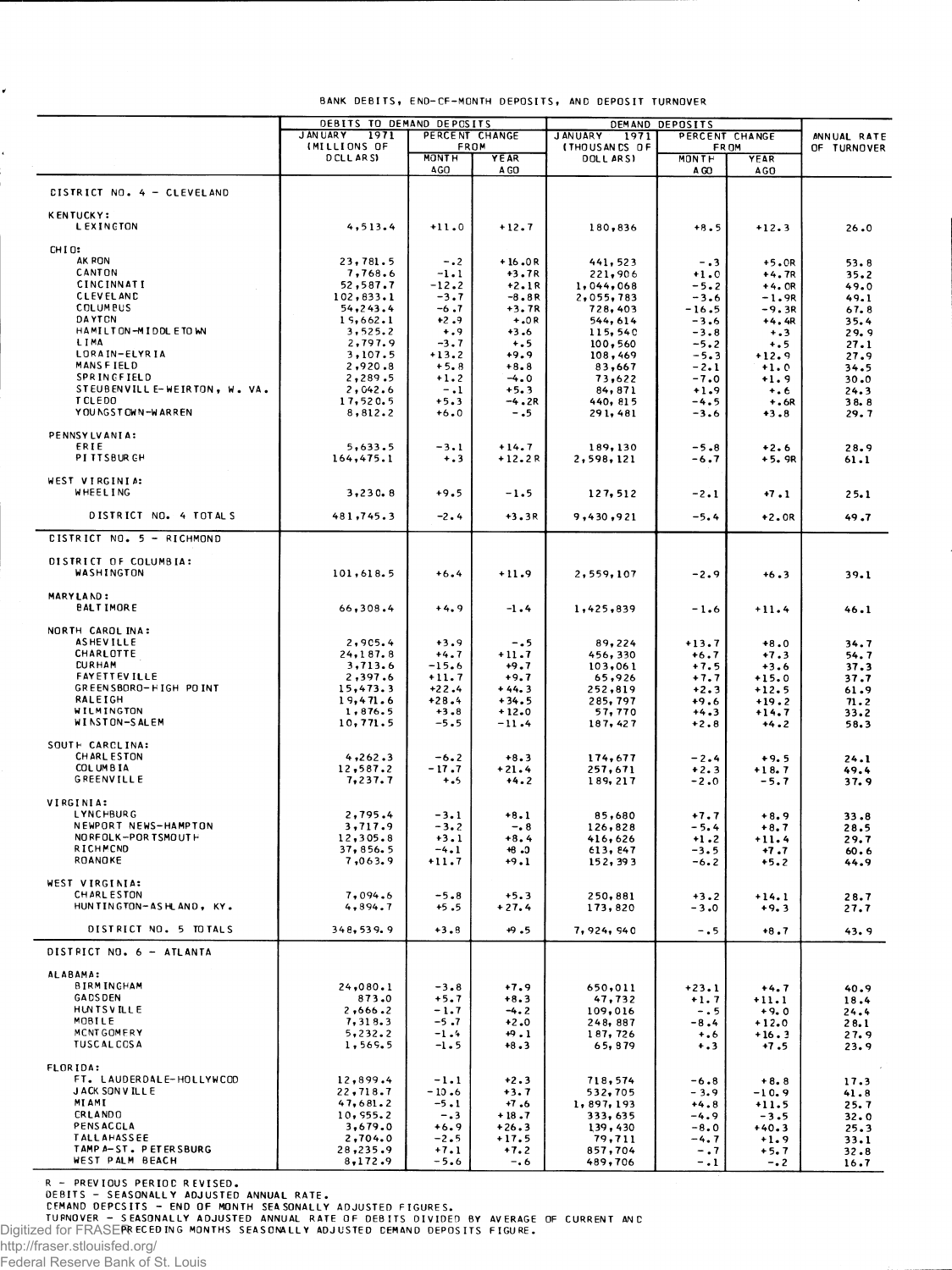|                                               | DEBITS TO DEMAND DEPOSITS                      |                        |                     | DEMAND DEPOSITS                                                    |                   |                    |                            |
|-----------------------------------------------|------------------------------------------------|------------------------|---------------------|--------------------------------------------------------------------|-------------------|--------------------|----------------------------|
|                                               | <b>JAN UARY</b><br>1971<br><b>IMILLIONS OF</b> | PERCENT CHANGE<br>FROM |                     | <b>JANUARY</b><br>1971<br>PERCENT CHANGE<br>(THOUSANDS OF<br>FR OM |                   |                    | ANNUAL RATE<br>OF TURNOVER |
|                                               | DCLLARS)                                       | <b>MONTH</b>           | YEAR                | <b>DOLLARSI</b>                                                    | <b>MONTH</b>      | YEAR               |                            |
|                                               |                                                | <b>AGO</b>             | A GO                |                                                                    | A GO              | AGO                |                            |
| <b>CISTRICT NO. 4 - CLEVELAND</b>             |                                                |                        |                     |                                                                    |                   |                    |                            |
| <b>KENTUCKY:</b><br>LEXINGTON                 | 4, 513.4                                       | $+11.0$                | $+12.7$             | 180,836                                                            | $+8.5$            | $+12.3$            | 26.0                       |
| CHIO:                                         |                                                |                        |                     |                                                                    |                   |                    |                            |
| AK RON<br>CANTON                              | 23,781.5<br>7,768.6                            | $-0.2$<br>$-1.1$       | $+16.0R$<br>$+3.7R$ | 441,523<br>221,906                                                 | $-0.3$<br>$+1.0$  | $+5.0R$<br>$+4.7R$ | 53.8<br>35.2               |
| CINCINNATI                                    | 52,587.7                                       | $-12.2$                | $+2.1R$             | 1,044,068                                                          | $-5.2$            | $+4.0R$            | 49.0                       |
| <b>CLEVELAND</b>                              | 102,833.1                                      | $-3.7$                 | $-8.8R$             | 2,055,783                                                          | $-3.6$            | $-1.9R$            | 49.1                       |
| <b>COLUMBUS</b><br>DAYTON                     | 54, 243.4<br>15,662.1                          | $-6.7$<br>$+2.9$       | $+3.7R$<br>$+.0R$   | 728,403<br>544,614                                                 | $-16.5$           | $-9.3R$            | 67.8                       |
| HAMILTON-MIDDLETOWN                           | 3, 525.2                                       | $+ 0.9$                | $+3.6$              | 115,540                                                            | -3.6<br>$-3.8$    | $+4.4R$<br>$+ 3$   | 35.4<br>29.9               |
| LIMA                                          | 2,797.9                                        | $-3.7$                 | $+ 5$               | 100,560                                                            | $-5.2$            | $+ . 5$            | 27.1                       |
| LORAIN-ELYRIA<br><b>MANSFIELD</b>             | 3,107.5                                        | $+13.2$                | 49.9                | 108,469                                                            | $-5.3$            | $+12.9$            | 27.9                       |
| SPRINGFIELD                                   | 2,920.8<br>2,289.5                             | $+5.8$<br>$+1.2$       | $+8.8$<br>$-4.0$    | 83,667<br>73,622                                                   | -2.1<br>$-7.0$    | $+1.0$<br>$+1.9$   | 34.5<br>30.0               |
| STEUBENVILL E-WEIRTON, W. VA.                 | 2,042.6                                        | $-1$                   | $+5.3$              | 84,871                                                             | $+1.9$            | $+ 6$              | 24.3                       |
| <b>TCLEDO</b>                                 | 17,520.5                                       | $+5.3$                 | $-4.2R$             | 440, 815                                                           | $-4.5$            | $+.6R$             | 38.8                       |
| YOU NGST OWN-WARREN                           | 8,812.2                                        | $+6.0$                 | $-0.5$              | 291,481                                                            | $-3.6$            | $+3.8$             | 29.7                       |
| PENNSYLVANIA:                                 |                                                |                        |                     |                                                                    |                   |                    |                            |
| ERIE<br><b>PITTSBURGH</b>                     | 5,633.5<br>164, 475.1                          | $-3.1$<br>$+ 3$        | $+14.7$<br>$+12.2R$ | 189,130<br>2,598,121                                               | $-5.8$<br>-6.7    | $+2.6$<br>$+5.9R$  | 28.9<br>61.1               |
|                                               |                                                |                        |                     |                                                                    |                   |                    |                            |
| WEST VIRGINIA:<br>WHEELING                    | 3,230.8                                        | $+9.5$                 | $-1.5$              | 127,512                                                            | $-2.1$            | $+7.1$             | 25.1                       |
| DISTRICT NO. 4 TOTALS                         | 481,745.3                                      | $-2.4$                 | +3.3R               | 9,430,921                                                          | $-5.4$            | $+2.0R$            | 49.7                       |
| CISTRICT NO. 5 - RICHMOND                     |                                                |                        |                     |                                                                    |                   |                    |                            |
| DISTRICT OF COLUMBIA:                         |                                                |                        |                     |                                                                    |                   |                    |                            |
| WASHINGTON                                    | 101,618.5                                      | $+6.4$                 | $+11.9$             | 2,559,107                                                          | $-2.9$            | $+6.3$             | 39.1                       |
| MARYLAND:<br><b>BALTIMORE</b>                 | 66,308.4                                       | $+4.9$                 | -1.4                | 1,425,839                                                          | $-1.6$            | $+11.4$            | 46.1                       |
| NORTH CAROL INA:                              |                                                |                        |                     |                                                                    |                   |                    |                            |
| <b>ASHEVILLE</b>                              | 2,905.4                                        | $+3.9$                 | $-0.5$              | 89,224                                                             | $+13.7$           | $+8.0$             | 34.7                       |
| CHARLOTTE<br><b>CURHAM</b>                    | 24, 187.8<br>3,713.6                           | $+4.7$<br>$-15.6$      | $+11.7$<br>$+9.7$   | 456,330<br>103,061                                                 | $+6.7$<br>$+7.5$  | $+7.3$<br>$+3.6$   | 54.7                       |
| <b>FAYETTEVILLE</b>                           | 2,397.6                                        | $+11.7$                | $+9.7$              | 65,926                                                             | $+7.7$            | $+15.0$            | 37.3<br>37.7               |
| GREENSBORO-HIGH POINT                         | 15,473.3                                       | $+22.4$                | $+44.3$             | 252,819                                                            | $+2.3$            | $+12.5$            | 61.9                       |
| RALEIGH<br>WILMINGTON                         | 19,471.6                                       | $+28.4$                | $+34.5$             | 285, 797                                                           | $+9.6$            | $+19.2$            | 71.2                       |
| WINSTON-SALEM                                 | 1,876.5<br>10,771.5                            | $+3.8$<br>$-5.5$       | $+12.0$<br>$-11.4$  | 57,770<br>187, 427                                                 | $+4.3$<br>$+2.8$  | $+14.7$<br>$+4.2$  | 33.2<br>58.3               |
| SOUTH CARCLINA:                               |                                                |                        |                     |                                                                    |                   |                    |                            |
| <b>CHARL ESTON</b>                            | 4,262.3                                        | $-6.2$                 | $+8.3$              | 174,677                                                            | $-2.4$            | $+9.5$             | 24.1                       |
| COL UMBIA                                     | 12,587.2                                       | $-17.7$                | $+21.4$             | 257,671                                                            | $+2.3$            | $+18.7$            | 49.4                       |
| <b>GREENVILLE</b>                             | 7,237.7                                        | $+ 0.5$                | $+4.2$              | 189, 217                                                           | $-2.0$            | $-5.7$             | 37.9                       |
| VIRGINIA:                                     |                                                |                        |                     |                                                                    |                   |                    |                            |
| LYNCHBURG<br>NEWPORT NEWS-HAMPTON             | 2,795.4<br>3,717.9                             | $-3.1$<br>$-3.2$       | $+8.1$<br>$-0.8$    | 85,680<br>126,828                                                  | $+7.7$<br>$-5.4$  | $+8.9$<br>$+8.7$   | 33.8<br>28.5               |
| NORFOLK-PORTSMOUTH                            | 12,305.8                                       | $+3.1$                 | $+8.4$              | 416,626                                                            | $+1.2$            | $+11.4$            | 29.7                       |
| RICHMOND                                      | 37,856.5                                       | $-4.1$                 | $+8.0$              | 613, 847                                                           | $-3.5$            | +7.7               | 60.6                       |
| ROANOKE                                       | 7,063.9                                        | $+11.7$                | $+9.1$              | 152,393                                                            | $-6.2$            | $+5.2$             | 44.9                       |
| WEST VIRGINIA:                                |                                                |                        |                     |                                                                    |                   |                    |                            |
| <b>CHARL ESTON</b><br>HUNTINGTON-ASHLAND, KY. | 7,094.6<br>4, 894.7                            | $-5.8$<br>$+5.5$       | $+5.3$<br>$+27.4$   | 250,881<br>173,820                                                 | $+3.2$<br>$-3.0$  | $+14.1$<br>$+9.3$  | 28.7<br>27.7               |
| DISTRICT NO. 5 TOTALS                         | 348,539.9                                      |                        |                     |                                                                    |                   |                    |                            |
|                                               |                                                | $+3.8$                 | $+9.5$              | 7,924,940                                                          | $-0.5$            | $+8.7$             | 43.9                       |
| DISTRICT NO. 6 - ATLANTA                      |                                                |                        |                     |                                                                    |                   |                    |                            |
| ALABAMA:<br><b>BIRMINGHAM</b>                 | 24,080.1                                       | $-3.8$                 | $+7.9$              | 650,011                                                            | $+23.1$           | $+4.7$             |                            |
| <b>GADSDEN</b>                                | 873.0                                          | $+5.7$                 | $+8.3$              | 47,732                                                             | $+1.7$            | $+11.1$            | 40.9<br>18.4               |
| <b>HUNTSVILLE</b>                             | 2,666.2                                        | $-1.7$                 | $-4.2$              | 109,016                                                            | $-0.5$            | $+9.0$             | 24.4                       |
| MOBILE                                        | 7,318.3                                        | $-5.7$                 | $+2.0$              | 248,887                                                            | $-8.4$            | $+12.0$            | 28.1                       |
| MCNTGOMERY<br><b>TUSCAL COSA</b>              | 5,232.2<br>1,569.5                             | $-1.4$<br>$-1.5$       | $+9.1$<br>$+8.3$    | 187,726<br>65,879                                                  | $^{+.6}$<br>$+ 3$ | $+16.3$<br>$+7.5$  | 27.9<br>23.9               |
| FLORIDA:                                      |                                                |                        |                     |                                                                    |                   |                    |                            |
| FT. LAUDERDALE-HOLLYWCOD                      | 12,899.4                                       | $-1.1$                 | $+2.3$              | 718,574                                                            | $-6.8$            | $+8.8$             | 17.3                       |
| <b>JACK SONVILLE</b><br>MIAMI                 | 22,718.7<br>47,681.2                           | $-10.6$<br>$-5.1$      | $+3.7$<br>$+7.6$    | 532,705<br>1,897,193                                               | $-3.9$<br>$+4.8$  | $-10.9$            | 41.8                       |
| CRLANDO                                       | 10, 955.2                                      | $-0.3$                 | $+18.7$             | 333, 635                                                           | $-4.9$            | $+11.5$<br>$-3.5$  | 25.7<br>32.0               |
| PENSACGLA                                     | 3,679.0                                        | $+6.9$                 | $+26.3$             | 139,430                                                            | $-8.0$            | $+40.3$            | 25.3                       |
| <b>TALLAHASSEE</b><br>TAMP A-ST. PETERSBURG   | 2,704.0<br>28,235.9                            | $-2.5$<br>$+7.1$       | $+17.5$             | 79,711                                                             | $-4.7$            | $+1.9$             | 33.1                       |
| WEST PALM BEACH                               | 8,172.9                                        | $-5.6$                 | $+7.2$<br>$-0.6$    | 857,704<br>489,706                                                 | $-0.7$<br>$-1$    | $+5.7$<br>$-0.2$   | 32.8<br>16.7               |

BANK DEBITS, END-CF-MONTH DEPOSITS, AND DEPOSIT TURNOVER

R - PREVIOUS PERIOC REVISED.<br>DEBITS - SEASONALLY ADJUSTED ANNUAL RATE.<br>CEMAND DEPCSITS - END OF MONTH SEASONALLY ADJUSTED FIGURES.<br>Digitized for FRASERRECEDING MONTHS SEASONALLY ADJUSTED CEMAND DEPOSITS FIGURE.

http://fraser.stlouisfed.org/

 $\checkmark$ 

Federal Reserve Bank of St. Louis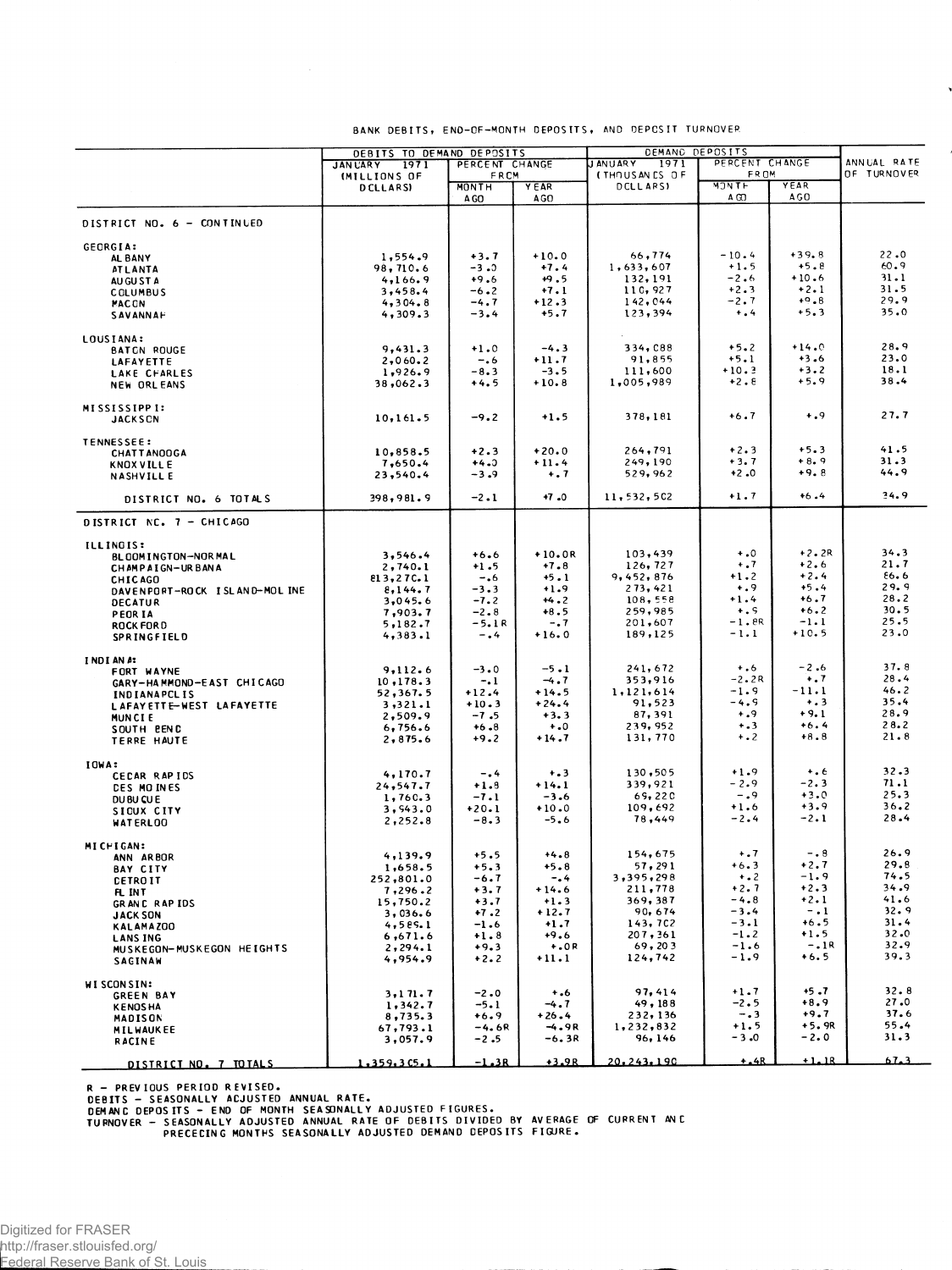|                                              | DEBITS TO DEMAND DEPOSITS |                   |                   | DEMAND DEPOSITS        |                    |                   |              |
|----------------------------------------------|---------------------------|-------------------|-------------------|------------------------|--------------------|-------------------|--------------|
|                                              | 1971<br><b>JAN UARY</b>   | PERCENT CHANGE    |                   | <b>JANUARY</b><br>1971 | PERCENT CHANGE     |                   | ANNUAL RATE  |
|                                              | <b>IMILLIONS OF</b>       | FRCM              |                   | (THOUSANES OF          | <b>FROM</b>        |                   | OF TURNOVER  |
|                                              | <b>DCLLARSI</b>           | MONTH<br>A GO     | Y EAR<br>AGO      | DCLL ARSI              | <b>MONTH</b><br>ΑŒ | YEAR<br>AGO       |              |
| DISTRICT NO. 6 - CONTINUED                   |                           |                   |                   |                        |                    |                   |              |
| GEORGIA:                                     |                           |                   |                   |                        |                    |                   |              |
| AL BANY                                      | 1,554.9                   | $+3.7$            | $+10.0$           | 66,774                 | $-10.4$            | $+39.8$           | 22.0         |
| <b>ATLANTA</b>                               | 98,710.6                  | -3.0              | $+7.4$            | 1,633,607              | $+1.5$             | $+5.8$            | 60.9         |
| AU GU ST A                                   | 4,166.9                   | $+9.6$            | $+9.5$            | 132, 191               | $-2.6$             | $+10.6$           | 31.1         |
| COLUMBUS                                     | 3,458.4                   | $-6 - 2$          | $+7.1$            | 110,927                | $+2.3$             | $+2.1$            | 31.5         |
| <b>MACCN</b>                                 | 4,304.8                   | $-4.7$            | $+12.3$           | 142,044                | $-2.7$             | $+9.8$            | 29.9         |
| SAVANNAF                                     | 4,309.3                   | $-3.4$            | $+5.7$            | 123,394                | $+$ .4             | $+5.3$            | 35.0         |
| LOUSIANA:                                    |                           |                   |                   |                        |                    |                   |              |
| <b>BATCN ROUGE</b>                           | 9,431.3                   | $+1.0$            | $-4.3$            | 334, C88               | $+5.2$             | $+14.0$<br>$+3.6$ | 28.9<br>23.0 |
| <b>LAFAYETTE</b>                             | 2,060.2                   | $-.6$             | $+11.7$<br>$-3.5$ | 91,855<br>111,600      | $+5.1$<br>$+10.3$  | $+3.2$            | 18.1         |
| LAKE CHARLES<br><b>NEW ORLEANS</b>           | 1,926.9<br>38,062.3       | $-8.3$<br>$+4.5$  | $+10.8$           | 1,005,989              | $+2.8$             | $+5.9$            | 38.4         |
|                                              |                           |                   |                   |                        |                    |                   |              |
| <b>MISSISSIPPI:</b><br><b>JACKSCN</b>        | 10, 161.5                 | $-9.2$            | $+1.5$            | 378,181                | $+6.7$             | $+0.9$            | 27.7         |
| <b>TENNESSEE:</b>                            |                           |                   |                   |                        |                    |                   |              |
| <b>CHATTANOOGA</b>                           | 10,858.5                  | $+2.3$            | $+20.0$           | 264,791                | $+2.3$<br>$+3.7$   | $+5.3$<br>$+8.9$  | 41.5<br>31.3 |
| <b>KNOX VILL E</b>                           | 7,650.4                   | $+4.3$            | $+11.4$           | 249,190                | $+2.0$             | $+9.8$            | 44.9         |
| <b>NASHVILLE</b>                             | 23,540.4                  | $-3.9$            | $+ .7$            | 529,962                |                    |                   |              |
| DISTRICT NO. 6 TOTALS                        | 398,981.9                 | $-2.1$            | $+7.0$            | 11, 532, 502           | $+1.7$             | $+6.4$            | 34.9         |
| DISTRICT NC. 7 - CHICAGO                     |                           |                   |                   |                        |                    |                   |              |
| <b>ILLINOIS:</b>                             |                           |                   |                   |                        |                    |                   |              |
| <b>BLOOMINGTON-NORMAL</b>                    | 3,546.4                   | $+6.6$            | $+10.0R$          | 103,439                | $\ddotsc$          | $+2.2R$           | 34.3         |
| CHAMPAIGN-URBANA                             | 2,740.1                   | $+1.5$            | $+7.8$            | 126,727                | $\dots$            | $+2.6$            | 21.7         |
| <b>CHICAGO</b>                               | 813,27C.1                 | $-0.6$            | $+5.1$            | 9,452,876              | $+1.2$             | $+2.4$            | 86.6         |
| DAVENPORT-ROCK ISLAND-MOLINE                 | 8,144.7                   | $-3.3$            | $+1.9$            | 273,421                | $+0.9$             | $+5.4$            | 29.9<br>28.2 |
| <b>DECATUR</b>                               | 3,045.6                   | $-7.2$            | $+4.2$            | 108,558                | $+1.4$             | $+6.7$            | 30.5         |
| PEOR IA                                      | 7,903.7                   | $-2.8$            | $+8.5$            | 259,985                | $+ . 5$<br>$-1.8R$ | $+6.2$<br>$-1.1$  | 25.5         |
| <b>ROCK FORD</b><br><b>SPRINGFIELD</b>       | 5,182.7<br>4,383.1        | $-5.1R$<br>$-0.4$ | $-0.7$<br>$+16.0$ | 201,607<br>189,125     | -1.1               | $+10.5$           | 23.0         |
|                                              |                           |                   |                   |                        |                    |                   |              |
| I NDI AN A:                                  | 9,112.6                   | $-3.0$            | $-5.1$            | 241,672                | $+ 0.6$            | $-2.6$            | 37.8         |
| FORT WAYNE<br>GARY-HAMMOND-EAST CHICAGO      | 10, 178.3                 | $-1$              | $-4.7$            | 353,916                | $-2.2R$            | $+ .7$            | 28.4         |
| <b>INDIANAPCLIS</b>                          | 52,367.5                  | $+12.4$           | $+14.5$           | 1,121,614              | $-1.9$             | $-11.1$           | 46.2         |
| LAFAYETTE-WEST LAFAYETTE                     | 3,321.1                   | $+10.3$           | $+24.4$           | 91,523                 | $-4.9$             | $\dots$           | 35.4         |
| MUNCIE                                       | 2,509.9                   | $-7.5$            | $+3.3$            | 87, 391                | .9                 | $+9.1$            | 28.9         |
| SOUTH BEND                                   | 6,756.6                   | $+6.8$            | $+0$              | 239,952                | $+ 3$              | $+6.4$            | 28.2         |
| TERRE HAUTE                                  | 2,875.6                   | $+9.2$            | $+14.7$           | 131,770                | $+ 0.2$            | $+8.8$            | 21.8         |
| IOWA:                                        |                           |                   |                   |                        |                    |                   |              |
| CECAR RAPIDS                                 | 4,170.7                   | $-0.4$            | $+ 3 3 $          | 130,505                | $+1.9$             | $\dots$           | 32.3         |
| <b>DES MOINES</b>                            | 24,547.7                  | $+1.8$            | $+14.1$           | 339,921                | - 2.9              | $-2.3$            | 71.1         |
| DUBU CU E                                    | 1,760.3                   | $-7.1$            | $-3.6$            | 69,220                 | $-0.9$             | $+3.0$            | 25.3         |
| SIGUX CITY                                   | 3,543.0                   | $+20.1$           | $+10.0$           | 109,692                | $+1.6$             | $+3.9$            | 36.2         |
| WATERLOO                                     | 2,252.8                   | $-8.3$            | $-5.6$            | 78,449                 | $-2.4$             | $-2.1$            | 28.4         |
| MICHIGAN:                                    |                           |                   |                   |                        |                    |                   |              |
| ANN ARBOR                                    | 4,139.9                   | $+5.5$            | $+4.8$            | 154,675                | $+ 0.7$            | $-0.8$            | 26.9         |
| <b>BAY CITY</b>                              | 1,658.5                   | $+5.3$            | $+5.8$            | 57,291                 | $+6.3$             | $+2.7$            | 29.8         |
| <b>CETROIT</b>                               | 252,801.0                 | $-6.7$            | $-0.4$            | 3,395,298              | $+ 0.2$            | $-1.9$            | 74.5         |
| FL INT                                       | 7,296.2                   | $+3.7$            | $+14.6$           | 211,778                | $+2.7$             | $+2.3$            | 34.9<br>41.6 |
| <b>GRANC RAPIDS</b>                          | 15,750.2                  | $+ 3.1$           | <b>+1.5</b>       | 369, 387<br>90,674     | 4.8<br>$-3.4$      | $+2.1$<br>$-1$    | 32.9         |
| <b>JACK SON</b>                              | 3,036.6<br>4,585.1        | $+7.2$<br>$-1.6$  | $+12.7$<br>$+1.7$ | 143, 702               | $-3.1$             | $+6.5$            | 31.4         |
| KALAMAZOO                                    | 6,671.6                   | $+1.8$            | $+9.6$            | 207, 361               | $-1.2$             | $+1.5$            | 32.0         |
| <b>LANS ING</b><br>MUSKEGON-MUSKEGON HEIGHTS | 2, 294.1                  | $+9.3$            | $+.0R$            | 69, 203                | $-1.6$             | $-.1R$            | 32.9         |
| <b>SACINAW</b>                               | 4,954.9                   | $+2.2$            | $+11.1$           | 124,742                | $-1.9$             | $+6.5$            | 39.3         |
|                                              |                           |                   |                   |                        |                    |                   |              |
| <b>WI SCON SIN:</b><br><b>GREEN BAY</b>      | 3,171.7                   | $-2.0$            | $+ 0.6$           | 97,414                 | $+1.7$             | $+5.7$            | 32.8         |
| <b>KENOSHA</b>                               | 1,342.7                   | $-5.1$            | $-4.7$            | 49, 188                | $-2.5$             | $+8.9$            | 27.0         |
| <b>MADISON</b>                               | 8,735.3                   | $+6.9$            | $+26.4$           | 232, 136               | $-0.3$             | $+9.7$            | 37.6         |
| <b>MILWAUKEE</b>                             | 67,793.1                  | $-4.6R$           | $-4.9R$           | 1,232,832              | $+1.5$             | $+5.9R$           | 55.4         |
| <b>RACINE</b>                                | 3,057.9                   | $-2.5$            | $-6.3R$           | 96, 146                | $-3.0$             | $-2.0$            | 31.3         |
| DISTRICT NO. 7 TOTALS                        | 1,359,3C5.1               | $-1.3R$           | $+3.9R$           | 20.243.190             | $+ .4R$            | $+1.18$           | 3. 1 م       |

## BANK DEBITS, END-OF-MONTH DEPOSITS, AND DEPOSIT TURNOVER

Ń

R – PREVIOUS PERIOD REVISED.<br>DEBITS – SEASONALLY ACJUSTED ANNUAL RATE.<br>DEMANC DEPOSITS – END OF MONTH SEASONALLY ADJUSTED FIGURES.<br>TURNOVER – SEASONALLY ADJUSTED ANNUAL RATE OF DEBITS DIVIDED BY AVERAGE OF CURRENT ANC<br>PREC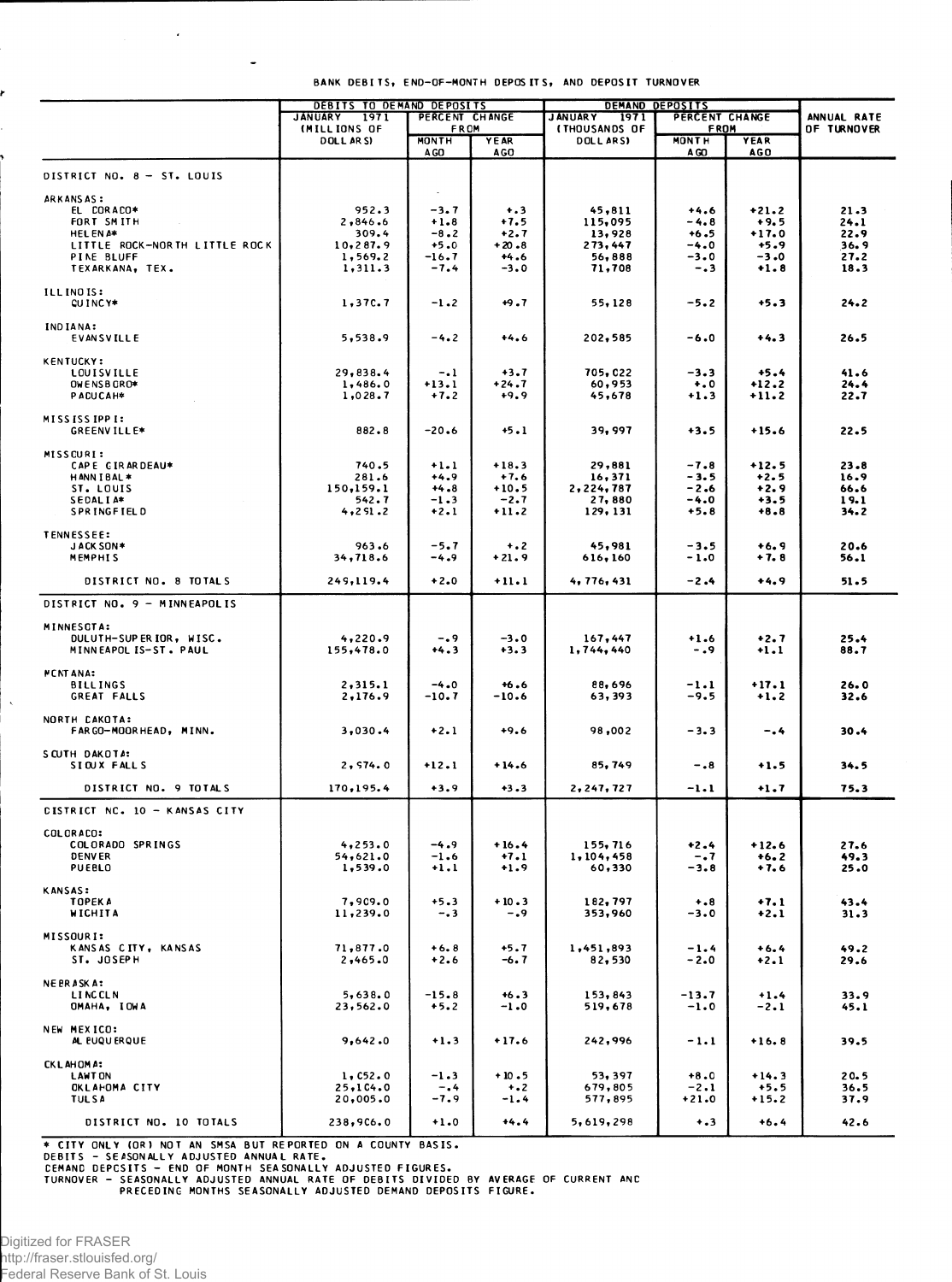|                                      | <b>DEBITS TO DEMAND DEPOSITS</b><br><b>JANUARY</b> |                                                       |                   |                        | <b>DEMAND DEPOSITS</b><br>PERCENT CHANGE |                   |                            |
|--------------------------------------|----------------------------------------------------|-------------------------------------------------------|-------------------|------------------------|------------------------------------------|-------------------|----------------------------|
|                                      | 1971<br>(MILLIONS OF                               | PERCENT CHANGE<br>FROM<br><b><i>ITHOUSANDS OF</i></b> |                   | <b>JANUARY</b><br>1971 | <b>FROM</b>                              |                   | ANNUAL RATE<br>OF TURNOVER |
|                                      | <b>DOLLARSI</b>                                    | <b>MONTH</b>                                          | YEAR              | DOLL ARS)              | <b>MONTH</b>                             | YEAR              |                            |
|                                      |                                                    | A GO                                                  | <b>AGO</b>        |                        | A CO                                     | AGO               |                            |
|                                      |                                                    |                                                       |                   |                        |                                          |                   |                            |
| DISTRICT NO. 8 - ST. LOUIS           |                                                    |                                                       |                   |                        |                                          |                   |                            |
| ARKANSAS:                            |                                                    |                                                       |                   |                        |                                          |                   |                            |
| EL CORACO*                           | 952.3                                              | $-3.7$                                                | $+ .3$            | 45,811                 | $+4.6$                                   | $+21.2$           | 21.3                       |
| FORT SMITH                           | 2,846.6                                            | $+1.8$                                                | $+7.5$            | 115,095                | -4.8                                     | $+9.5$            | 24.1                       |
| <b>HELENA*</b>                       | 309.4                                              | $-8.2$                                                | $+2.7$            | 13,928                 | $+6.5$                                   | $+17.0$           | 22.9                       |
| LITTLE ROCK-NORTH LITTLE ROCK        | 10,287.9                                           | $+5.0$                                                | $+20.8$           | 273,447                | $-4.0$                                   | $+5.9$            | 36.9                       |
| PINE BLUFF                           | 1,569.2                                            | $-16.7$<br>$-7.4$                                     | $+4.6$            | 56,888                 | $-3.0$                                   | $-3.0$            | 27.2                       |
| TEXARKANA, TEX.                      | 1,311.3                                            |                                                       | $-3.0$            | 71,708                 | $-0.3$                                   | $+1.8$            | 18.3                       |
| ILLINOIS:                            |                                                    |                                                       |                   |                        |                                          |                   |                            |
| CUINCY*                              | 1,37C.7                                            | $-1.2$                                                | $+9.7$            | 55,128                 | $-5 - 2$                                 | $+5.3$            | 24.2                       |
|                                      |                                                    |                                                       |                   |                        |                                          |                   |                            |
| INDIANA:                             |                                                    |                                                       |                   |                        |                                          |                   |                            |
| EVANSVILLE                           | 5,538.9                                            | $-4.2$                                                | $+4.6$            | 202,585                | -6.0                                     | $+4.3$            | 26.5                       |
| <b>KENTUCKY:</b>                     |                                                    |                                                       |                   |                        |                                          |                   |                            |
| <b>LOUISVILLE</b>                    | 29,838.4                                           | $-1$                                                  | $+3.7$            | 705,022                | $-3.3$                                   | $+5.4$            | 41.6                       |
| OWENSBORO*                           | 1,486.0                                            | $+13.1$                                               | +24.7             | 60,953                 | $+0.0$                                   | $+12.2$           | 24.4                       |
| PACUCAH*                             | 1,028.7                                            | $+7.2$                                                | $+9.9$            | 45,678                 | $+1.3$                                   | $+11.2$           | 22.7                       |
|                                      |                                                    |                                                       |                   |                        |                                          |                   |                            |
| <b>MISSISSIPPI:</b>                  |                                                    |                                                       |                   |                        |                                          |                   |                            |
| <b>GREENVILLE*</b>                   | 882.8                                              | $-20.6$                                               | $+5.1$            | 39,997                 | $+3.5$                                   | $+15.6$           | 22.5                       |
| <b>MISSCURI:</b>                     |                                                    |                                                       |                   |                        |                                          |                   |                            |
| CAPE GIRARDEAU*                      | 740.5                                              | $+1.1$                                                | $+18.3$           | 29,881                 | $-7.8$                                   | $+12.5$           | 23.8                       |
| <b>HANNIBAL*</b>                     | 281.6                                              | $+4.9$                                                | $+7.6$            | 16,371                 | $-3.5$                                   | $+2.5$            | 16.9                       |
| ST. LOUIS                            | 150,159.1                                          | $+4.8$                                                | $+10.5$           | 2,224,787              | -2.6                                     | $+2.9$            | 66.6                       |
| SEDALIA*                             | 542.7                                              | $-1.3$                                                | $-2.7$            | 27,880                 | $-4.0$                                   | $+3.5$            | 19.1                       |
| <b>SPRINGFIELD</b>                   | 4,251.2                                            | $+2.1$                                                | $+11.2$           | 129, 131               | $+5.8$                                   | $+8.8$            | 34.2                       |
|                                      |                                                    |                                                       |                   |                        |                                          |                   |                            |
| <b>TENNESSEE:</b>                    |                                                    |                                                       |                   |                        |                                          |                   |                            |
| JACK SON*<br><b>MEMPHIS</b>          | 963.6<br>34,718.6                                  | $-5.7$<br>$-4.9$                                      | $+ 2$<br>$+21.9$  | 45,981<br>616,160      | $-3.5$<br>-1.0                           | $+6.9$<br>+ 7. 8  | 20.6<br>56.1               |
|                                      |                                                    |                                                       |                   |                        |                                          |                   |                            |
| DISTRICT NO. 8 TOTALS                | 249,119.4                                          | $+2.0$                                                | $+11.1$           | 4,776,431              | $-2.4$                                   | $+4.9$            | 51.5                       |
|                                      |                                                    |                                                       |                   |                        |                                          |                   |                            |
| DISTRICT NO. 9 - MINNEAPOLIS         |                                                    |                                                       |                   |                        |                                          |                   |                            |
| MINNESCTA:                           |                                                    |                                                       |                   |                        |                                          |                   |                            |
| DULUTH-SUPERIOR, WISC.               | 4,220.9                                            | $-0.9$                                                | $-3.0$            | 167,447                | $+1.6$                                   | $+2.7$            | 25.4                       |
| MINNEAPOL IS-ST. PAUL                | 155,478.0                                          | $+4.3$                                                | $+3.3$            | 1,744,440              | - . 9                                    | $+1.1$            | 88.7                       |
|                                      |                                                    |                                                       |                   |                        |                                          |                   |                            |
| <b>MCNT ANA:</b>                     |                                                    |                                                       |                   |                        |                                          |                   |                            |
| <b>BILLINGS</b>                      | 2,315.1                                            | $-4.0$                                                | $+6.6$            | 88,696                 | -1.1                                     | $+17.1$           | 26.0                       |
| GREAT FALLS                          | 2,176.9                                            | $-10.7$                                               | $-10.6$           | 63,393                 | $-9.5$                                   | $+1.2$            | 32.6                       |
| NORTH CAKOTA:                        |                                                    |                                                       |                   |                        |                                          |                   |                            |
| FARGO-MOORHEAD, MINN.                | 3,030.4                                            | $+2.1$                                                | $+9.6$            | 98,002                 | -3.3                                     | -.4               | 30.4                       |
|                                      |                                                    |                                                       |                   |                        |                                          |                   |                            |
| SCUTH DAKOTA:                        |                                                    |                                                       |                   |                        |                                          |                   |                            |
| SIQUX FALLS                          | 2,574.0                                            | $+12.1$                                               | $+14.6$           | 85,749                 | $-0.8$                                   | $+1.5$            | 34.5                       |
| DISTRICT NO. 9 TOTALS                | 170,195.4                                          | $+3.9$                                                | $+3.3$            | 2,247,727              | $-1.1$                                   | $+1.7$            | 75.3                       |
|                                      |                                                    |                                                       |                   |                        |                                          |                   |                            |
| <b>CISTRICT NC. 10 - KANSAS CITY</b> |                                                    |                                                       |                   |                        |                                          |                   |                            |
|                                      |                                                    |                                                       |                   |                        |                                          |                   |                            |
| COLORACO:<br>COLORADO SPRINGS        |                                                    |                                                       |                   |                        |                                          |                   |                            |
| <b>DENVER</b>                        | 4,253.0<br>54,621.0                                | -4.9<br>$-1.6$                                        | $+16.4$<br>$+7.1$ | 155,716<br>1,104,458   | $+2.4$<br>$-1.7$                         | $+12.6$<br>$+6.2$ | 27.6<br>49.3               |
| PUEBLO                               | 1,539.0                                            | $+1.1$                                                | $+1.9$            | 60,330                 | -3.8                                     | $+7.6$            | 25.0                       |
|                                      |                                                    |                                                       |                   |                        |                                          |                   |                            |
| <b>KANSAS:</b>                       |                                                    |                                                       |                   |                        |                                          |                   |                            |
| TOPEKA                               | 7,909.0                                            | $+5.3$                                                | $+10.3$           | 182,797                | $+ 0.8$                                  | $+7.1$            | 43.4                       |
| WICHITA                              | 11,239.0                                           | $-0.3$                                                | $-0.9$            | 353,960                | $-3.0$                                   | $+2.1$            | 31.3                       |
| MISSOURI:                            |                                                    |                                                       |                   |                        |                                          |                   |                            |
| KANSAS CITY, KANSAS                  | 71,877.0                                           | $+6.8$                                                | $+5.7$            | 1,451,893              | $-1.4$                                   | $+6.4$            | 49.2                       |
| ST. JOSEPH                           | 2,465.0                                            | $+2.6$                                                | $-6.7$            | 82,530                 | $-2.0$                                   | $+2.1$            | 29.6                       |
|                                      |                                                    |                                                       |                   |                        |                                          |                   |                            |
| <b>NE PRASKA:</b>                    |                                                    |                                                       |                   |                        |                                          |                   |                            |
| <b>LINCCLN</b>                       | 5,638.0                                            | $-15.8$                                               | $+6.3$            | 153,843                | -13.7                                    | $+1.4$            | 33.9                       |
| OMAHA, IOWA                          | 23,562.0                                           | $+5.2$                                                | $-1.0$            | 519,678                | $-1.0$                                   | $-2.1$            | 45.1                       |
| NEW MEXICO:                          |                                                    |                                                       |                   |                        |                                          |                   |                            |
| <b>AL EUQUERQUE</b>                  | 9,642.0                                            | $+1.3$                                                | $+17.6$           | 242,996                | $-1.1$                                   | $+16.8$           | 39.5                       |
|                                      |                                                    |                                                       |                   |                        |                                          |                   |                            |
| <b>CKLAHOMA:</b>                     |                                                    |                                                       |                   |                        |                                          |                   |                            |
| <b>LAWTON</b>                        | 1,052.0                                            | $-1.3$                                                | $+10.5$           | 53, 397                | $+8.0$                                   | $+14.3$           | 20.5                       |
| OKLAHOMA CITY                        | 25,104.0                                           | $-0.4$                                                | $+ 2$             | 679,805                | $-2.1$                                   | $+5.5$            | 36.5                       |
| <b>TULSA</b>                         | 20,005.0                                           | $-7.9$                                                | $-1.4$            | 577,895                | $+21.0$                                  | $+15.2$           | 37.9                       |
| DISTRICT NO. 10 TOTALS               | 238,906.0                                          | $+1.0$                                                | $+4.4$            | 5,619,298              | $+ 3$                                    | $+6.4$            | 42.6                       |
|                                      |                                                    |                                                       |                   |                        |                                          |                   |                            |

## BANK DEBITS, END-OF-MONTH DEPOSITS, AND DEPOSIT TURNOVER

 $\epsilon$ 

ł

 $\hat{\lambda}$ 

 $\tilde{\phantom{a}}$ 

+ CITY ONLY (OR) NOT AN SMSA BUT REPORTED ON A COUNTY BASIS.<br>DEBITS - SEASONALLY ADJUSTED ANNUAL RATE.<br>CEMAND DEPCSITS - END OF MONTH SEASONALLY ADJUSTED FIGURES.<br>TURNOVER - SEASONALLY ADJUSTED ANNUAL RATE OF DEBITS DIVID

Digitized for FRASER http://fraser.stlouisfed.org/ Federal Reserve Bank of St. Louis